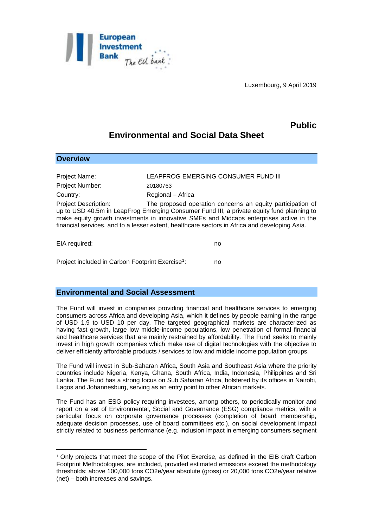

Luxembourg, 9 April 2019

## **Public**

## **Environmental and Social Data Sheet**

| <b>Overview</b>                                                                                                                                                                                                                                                                                                                                                                    |                                     |
|------------------------------------------------------------------------------------------------------------------------------------------------------------------------------------------------------------------------------------------------------------------------------------------------------------------------------------------------------------------------------------|-------------------------------------|
| Project Name:                                                                                                                                                                                                                                                                                                                                                                      | LEAPFROG EMERGING CONSUMER FUND III |
| <b>Project Number:</b>                                                                                                                                                                                                                                                                                                                                                             | 20180763                            |
| Country:                                                                                                                                                                                                                                                                                                                                                                           | Regional - Africa                   |
| <b>Project Description:</b><br>The proposed operation concerns an equity participation of<br>up to USD 40.5m in LeapFrog Emerging Consumer Fund III, a private equity fund planning to<br>make equity growth investments in innovative SMEs and Midcaps enterprises active in the<br>financial services, and to a lesser extent, healthcare sectors in Africa and developing Asia. |                                     |
| EIA required:                                                                                                                                                                                                                                                                                                                                                                      | no                                  |

Project included in Carbon Footprint Exercise<sup>1</sup>: : no

## **Environmental and Social Assessment**

<u>.</u>

The Fund will invest in companies providing financial and healthcare services to emerging consumers across Africa and developing Asia, which it defines by people earning in the range of USD 1.9 to USD 10 per day. The targeted geographical markets are characterized as having fast growth, large low middle-income populations, low penetration of formal financial and healthcare services that are mainly restrained by affordability. The Fund seeks to mainly invest in high growth companies which make use of digital technologies with the objective to deliver efficiently affordable products / services to low and middle income population groups.

The Fund will invest in Sub-Saharan Africa, South Asia and Southeast Asia where the priority countries include Nigeria, Kenya, Ghana, South Africa, India, Indonesia, Philippines and Sri Lanka. The Fund has a strong focus on Sub Saharan Africa, bolstered by its offices in Nairobi, Lagos and Johannesburg, serving as an entry point to other African markets.

The Fund has an ESG policy requiring investees, among others, to periodically monitor and report on a set of Environmental, Social and Governance (ESG) compliance metrics, with a particular focus on corporate governance processes (completion of board membership, adequate decision processes, use of board committees etc.), on social development impact strictly related to business performance (e.g. inclusion impact in emerging consumers segment

 $1$  Only projects that meet the scope of the Pilot Exercise, as defined in the EIB draft Carbon Footprint Methodologies, are included, provided estimated emissions exceed the methodology thresholds: above 100,000 tons CO2e/year absolute (gross) or 20,000 tons CO2e/year relative (net) – both increases and savings.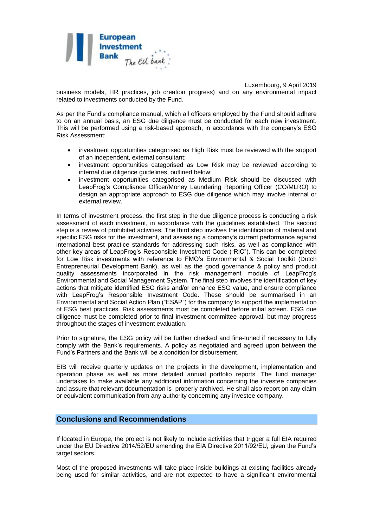

Luxembourg, 9 April 2019

business models, HR practices, job creation progress) and on any environmental impact related to investments conducted by the Fund.

As per the Fund's compliance manual, which all officers employed by the Fund should adhere to on an annual basis, an ESG due diligence must be conducted for each new investment. This will be performed using a risk-based approach, in accordance with the company's ESG Risk Assessment:

- investment opportunities categorised as High Risk must be reviewed with the support of an independent, external consultant;
- investment opportunities categorised as Low Risk may be reviewed according to internal due diligence guidelines, outlined below;
- investment opportunities categorised as Medium Risk should be discussed with LeapFrog's Compliance Officer/Money Laundering Reporting Officer (CO/MLRO) to design an appropriate approach to ESG due diligence which may involve internal or external review.

In terms of investment process, the first step in the due diligence process is conducting a risk assessment of each investment, in accordance with the guidelines established. The second step is a review of prohibited activities. The third step involves the identification of material and specific ESG risks for the investment, and assessing a company's current performance against international best practice standards for addressing such risks, as well as compliance with other key areas of LeapFrog's Responsible Investment Code ("RIC"). This can be completed for Low Risk investments with reference to FMO's Environmental & Social Toolkit (Dutch Entrepreneurial Development Bank), as well as the good governance & policy and product quality assessments incorporated in the risk management module of LeapFrog's Environmental and Social Management System. The final step involves the identification of key actions that mitigate identified ESG risks and/or enhance ESG value, and ensure compliance with LeapFrog's Responsible Investment Code. These should be summarised in an Environmental and Social Action Plan ("ESAP") for the company to support the implementation of ESG best practices. Risk assessments must be completed before initial screen. ESG due diligence must be completed prior to final investment committee approval, but may progress throughout the stages of investment evaluation.

Prior to signature, the ESG policy will be further checked and fine-tuned if necessary to fully comply with the Bank's requirements. A policy as negotiated and agreed upon between the Fund's Partners and the Bank will be a condition for disbursement.

EIB will receive quarterly updates on the projects in the development, implementation and operation phase as well as more detailed annual portfolio reports. The fund manager undertakes to make available any additional information concerning the investee companies and assure that relevant documentation is properly archived. He shall also report on any claim or equivalent communication from any authority concerning any investee company.

## **Conclusions and Recommendations**

If located in Europe, the project is not likely to include activities that trigger a full EIA required under the EU Directive 2014/52/EU amending the EIA Directive 2011/92/EU, given the Fund's target sectors.

Most of the proposed investments will take place inside buildings at existing facilities already being used for similar activities, and are not expected to have a significant environmental